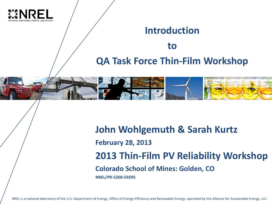

## **Introduction to QA Task Force Thin-Film Workshop**



**John Wohlgemuth & Sarah Kurtz February 28, 2013 2013 Thin-Film PV Reliability Workshop Colorado School of Mines: Golden, CO NREL/PR-5200-59295**

NREL is a national laboratory of the U.S. Department of Energy, Office of Energy Efficiency and Renewable Energy, operated by the Alliance for Sustainable Energy, LLC.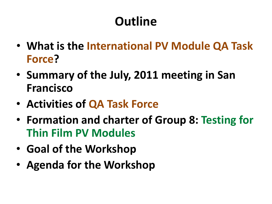# **Outline**

- **What is the International PV Module QA Task Force?**
- **Summary of the July, 2011 meeting in San Francisco**
- **Activities of QA Task Force**
- **Formation and charter of Group 8: Testing for Thin Film PV Modules**
- **Goal of the Workshop**
- **Agenda for the Workshop**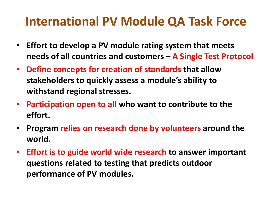### **International PV Module QA Task Force**

- **Effort to develop a PV module rating system that meets needs of all countries and customers – A Single Test Protocol**
- **Define concepts for creation of standards that allow stakeholders to quickly assess a module's ability to withstand regional stresses.**
- **Participation open to all who want to contribute to the effort.**
- **Program relies on research done by volunteers around the world.**
- **Effort is to guide world wide research to answer important questions related to testing that predicts outdoor performance of PV modules.**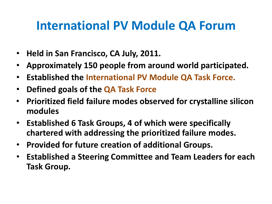### **International PV Module QA Forum**

- **Held in San Francisco, CA July, 2011.**
- **Approximately 150 people from around world participated.**
- **Established the International PV Module QA Task Force.**
- **Defined goals of the QA Task Force**
- **Prioritized field failure modes observed for crystalline silicon modules**
- **Established 6 Task Groups, 4 of which were specifically chartered with addressing the prioritized failure modes.**
- **Provided for future creation of additional Groups.**
- **Established a Steering Committee and Team Leaders for each Task Group.**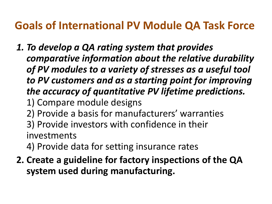#### **Goals of International PV Module QA Task Force**

- *1. To develop a QA rating system that provides comparative information about the relative durability of PV modules to a variety of stresses as a useful tool to PV customers and as a starting point for improving the accuracy of quantitative PV lifetime predictions.*
	- 1) Compare module designs
	- 2) Provide a basis for manufacturers' warranties
	- 3) Provide investors with confidence in their investments
	- 4) Provide data for setting insurance rates
- **2. Create a guideline for factory inspections of the QA system used during manufacturing.**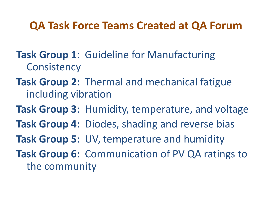#### **QA Task Force Teams Created at QA Forum**

- **Task Group 1**: Guideline for Manufacturing **Consistency**
- **Task Group 2**: Thermal and mechanical fatigue including vibration
- **Task Group 3**: Humidity, temperature, and voltage
- **Task Group 4**: Diodes, shading and reverse bias
- **Task Group 5**: UV, temperature and humidity
- **Task Group 6**: Communication of PV QA ratings to the community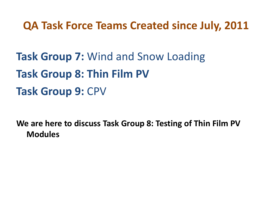#### **QA Task Force Teams Created since July, 2011**

**Task Group 7:** Wind and Snow Loading **Task Group 8: Thin Film PV Task Group 9:** CPV

**We are here to discuss Task Group 8: Testing of Thin Film PV Modules**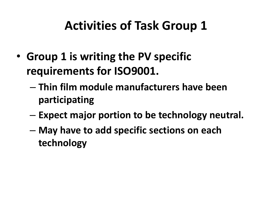## **Activities of Task Group 1**

- **Group 1 is writing the PV specific requirements for ISO9001.** 
	- **Thin film module manufacturers have been participating**
	- **Expect major portion to be technology neutral.**
	- **May have to add specific sections on each technology**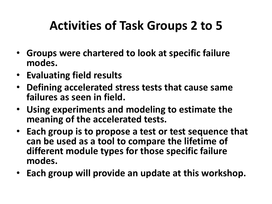# **Activities of Task Groups 2 to 5**

- **Groups were chartered to look at specific failure modes.**
- **Evaluating field results**
- **Defining accelerated stress tests that cause same failures as seen in field.**
- **Using experiments and modeling to estimate the meaning of the accelerated tests.**
- **Each group is to propose a test or test sequence that can be used as a tool to compare the lifetime of different module types for those specific failure modes.**
- **Each group will provide an update at this workshop.**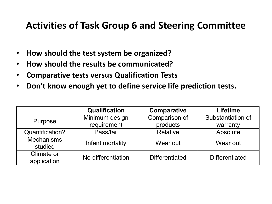#### **Activities of Task Group 6 and Steering Committee**

- **How should the test system be organized?**
- **How should the results be communicated?**
- **Comparative tests versus Qualification Tests**
- **Don't know enough yet to define service life prediction tests.**

|                              | <b>Qualification</b> | Comparative           | <b>Lifetime</b>       |
|------------------------------|----------------------|-----------------------|-----------------------|
| Purpose                      | Minimum design       | Comparison of         | Substantiation of     |
|                              | requirement          | products              | warranty              |
| Quantification?              | Pass/fail            | Relative              | Absolute              |
| <b>Mechanisms</b><br>studied | Infant mortality     | Wear out              | Wear out              |
| Climate or<br>application    | No differentiation   | <b>Differentiated</b> | <b>Differentiated</b> |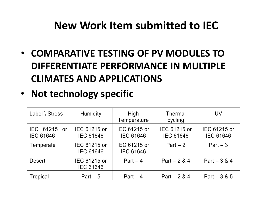#### **New Work Item submitted to IEC**

- **COMPARATIVE TESTING OF PV MODULES TO DIFFERENTIATE PERFORMANCE IN MULTIPLE CLIMATES AND APPLICATIONS**
- **Not technology specific**

| Label \ Stress                             | Humidity                         | High<br>Temperature              | <b>Thermal</b><br>cycling        | UV                               |
|--------------------------------------------|----------------------------------|----------------------------------|----------------------------------|----------------------------------|
| IEC 61215<br><b>or</b><br><b>IEC 61646</b> | IEC 61215 or<br><b>IEC 61646</b> | IEC 61215 or<br><b>IEC 61646</b> | IEC 61215 or<br><b>IEC 61646</b> | IEC 61215 or<br><b>IEC 61646</b> |
| Temperate                                  | IEC 61215 or<br><b>IEC 61646</b> | IEC 61215 or<br><b>IEC 61646</b> | $Part - 2$                       | $Part - 3$                       |
| <b>Desert</b>                              | IEC 61215 or<br><b>IEC 61646</b> | Part $-4$                        | Part $-2 & 4$                    | Part $-3 & 4$                    |
| <b>Tropical</b>                            | $Part - 5$                       | $Part - 4$                       | Part $- 2 & 4$                   | $Part - 3 & 5$                   |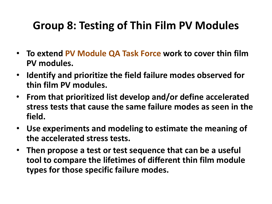#### **Group 8: Testing of Thin Film PV Modules**

- **To extend PV Module QA Task Force work to cover thin film PV modules.**
- **Identify and prioritize the field failure modes observed for thin film PV modules.**
- **From that prioritized list develop and/or define accelerated stress tests that cause the same failure modes as seen in the field.**
- **Use experiments and modeling to estimate the meaning of the accelerated stress tests.**
- **Then propose a test or test sequence that can be a useful tool to compare the lifetimes of different thin film module types for those specific failure modes.**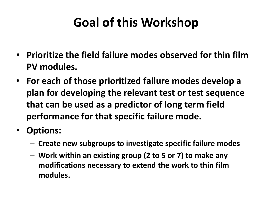# **Goal of this Workshop**

- **Prioritize the field failure modes observed for thin film PV modules.**
- **For each of those prioritized failure modes develop a plan for developing the relevant test or test sequence that can be used as a predictor of long term field performance for that specific failure mode.**
- **Options:**
	- **Create new subgroups to investigate specific failure modes**
	- **Work within an existing group (2 to 5 or 7) to make any modifications necessary to extend the work to thin film modules.**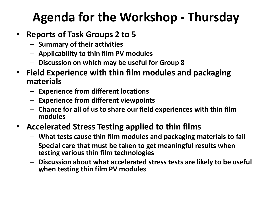# **Agenda for the Workshop - Thursday**

- **Reports of Task Groups 2 to 5**
	- **Summary of their activities**
	- **Applicability to thin film PV modules**
	- **Discussion on which may be useful for Group 8**
- **Field Experience with thin film modules and packaging materials**
	- **Experience from different locations**
	- **Experience from different viewpoints**
	- **Chance for all of us to share our field experiences with thin film modules**
- **Accelerated Stress Testing applied to thin films**
	- **What tests cause thin film modules and packaging materials to fail**
	- **Special care that must be taken to get meaningful results when testing various thin film technologies**
	- **Discussion about what accelerated stress tests are likely to be useful when testing thin film PV modules**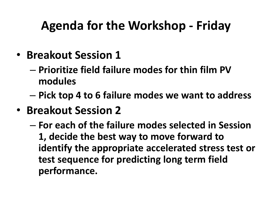## **Agenda for the Workshop - Friday**

- **Breakout Session 1** 
	- **Prioritize field failure modes for thin film PV modules**
	- **Pick top 4 to 6 failure modes we want to address**
- **Breakout Session 2**
	- **For each of the failure modes selected in Session 1, decide the best way to move forward to identify the appropriate accelerated stress test or test sequence for predicting long term field performance.**